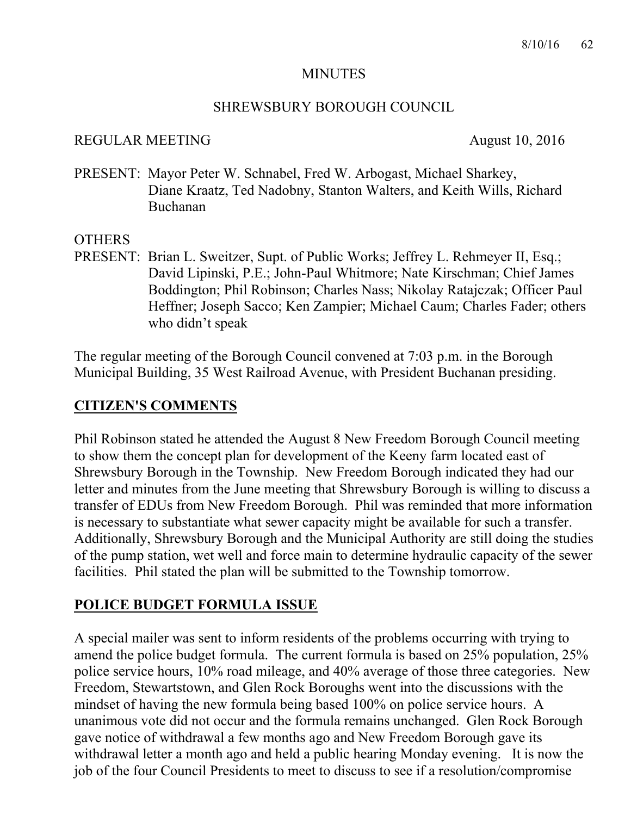#### MINUTES

#### SHREWSBURY BOROUGH COUNCIL

#### REGULAR MEETING August 10, 2016

PRESENT: Mayor Peter W. Schnabel, Fred W. Arbogast, Michael Sharkey, Diane Kraatz, Ted Nadobny, Stanton Walters, and Keith Wills, Richard Buchanan

#### **OTHERS**

PRESENT: Brian L. Sweitzer, Supt. of Public Works; Jeffrey L. Rehmeyer II, Esq.; David Lipinski, P.E.; John-Paul Whitmore; Nate Kirschman; Chief James Boddington; Phil Robinson; Charles Nass; Nikolay Ratajczak; Officer Paul Heffner; Joseph Sacco; Ken Zampier; Michael Caum; Charles Fader; others who didn't speak

The regular meeting of the Borough Council convened at 7:03 p.m. in the Borough Municipal Building, 35 West Railroad Avenue, with President Buchanan presiding.

### **CITIZEN'S COMMENTS**

Phil Robinson stated he attended the August 8 New Freedom Borough Council meeting to show them the concept plan for development of the Keeny farm located east of Shrewsbury Borough in the Township. New Freedom Borough indicated they had our letter and minutes from the June meeting that Shrewsbury Borough is willing to discuss a transfer of EDUs from New Freedom Borough. Phil was reminded that more information is necessary to substantiate what sewer capacity might be available for such a transfer. Additionally, Shrewsbury Borough and the Municipal Authority are still doing the studies of the pump station, wet well and force main to determine hydraulic capacity of the sewer facilities. Phil stated the plan will be submitted to the Township tomorrow.

### **POLICE BUDGET FORMULA ISSUE**

A special mailer was sent to inform residents of the problems occurring with trying to amend the police budget formula. The current formula is based on 25% population, 25% police service hours, 10% road mileage, and 40% average of those three categories. New Freedom, Stewartstown, and Glen Rock Boroughs went into the discussions with the mindset of having the new formula being based 100% on police service hours. A unanimous vote did not occur and the formula remains unchanged. Glen Rock Borough gave notice of withdrawal a few months ago and New Freedom Borough gave its withdrawal letter a month ago and held a public hearing Monday evening. It is now the job of the four Council Presidents to meet to discuss to see if a resolution/compromise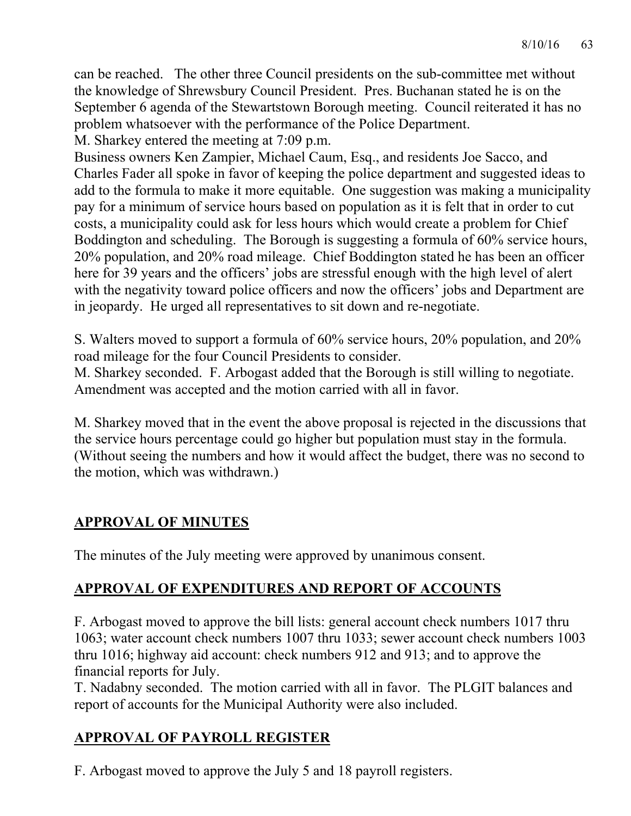can be reached. The other three Council presidents on the sub-committee met without the knowledge of Shrewsbury Council President. Pres. Buchanan stated he is on the September 6 agenda of the Stewartstown Borough meeting. Council reiterated it has no problem whatsoever with the performance of the Police Department.

M. Sharkey entered the meeting at 7:09 p.m.

Business owners Ken Zampier, Michael Caum, Esq., and residents Joe Sacco, and Charles Fader all spoke in favor of keeping the police department and suggested ideas to add to the formula to make it more equitable. One suggestion was making a municipality pay for a minimum of service hours based on population as it is felt that in order to cut costs, a municipality could ask for less hours which would create a problem for Chief Boddington and scheduling. The Borough is suggesting a formula of 60% service hours, 20% population, and 20% road mileage. Chief Boddington stated he has been an officer here for 39 years and the officers' jobs are stressful enough with the high level of alert with the negativity toward police officers and now the officers' jobs and Department are in jeopardy. He urged all representatives to sit down and re-negotiate.

S. Walters moved to support a formula of 60% service hours, 20% population, and 20% road mileage for the four Council Presidents to consider.

M. Sharkey seconded. F. Arbogast added that the Borough is still willing to negotiate. Amendment was accepted and the motion carried with all in favor.

M. Sharkey moved that in the event the above proposal is rejected in the discussions that the service hours percentage could go higher but population must stay in the formula. (Without seeing the numbers and how it would affect the budget, there was no second to the motion, which was withdrawn.)

## **APPROVAL OF MINUTES**

The minutes of the July meeting were approved by unanimous consent.

## **APPROVAL OF EXPENDITURES AND REPORT OF ACCOUNTS**

F. Arbogast moved to approve the bill lists: general account check numbers 1017 thru 1063; water account check numbers 1007 thru 1033; sewer account check numbers 1003 thru 1016; highway aid account: check numbers 912 and 913; and to approve the financial reports for July.

T. Nadabny seconded. The motion carried with all in favor. The PLGIT balances and report of accounts for the Municipal Authority were also included.

## **APPROVAL OF PAYROLL REGISTER**

F. Arbogast moved to approve the July 5 and 18 payroll registers.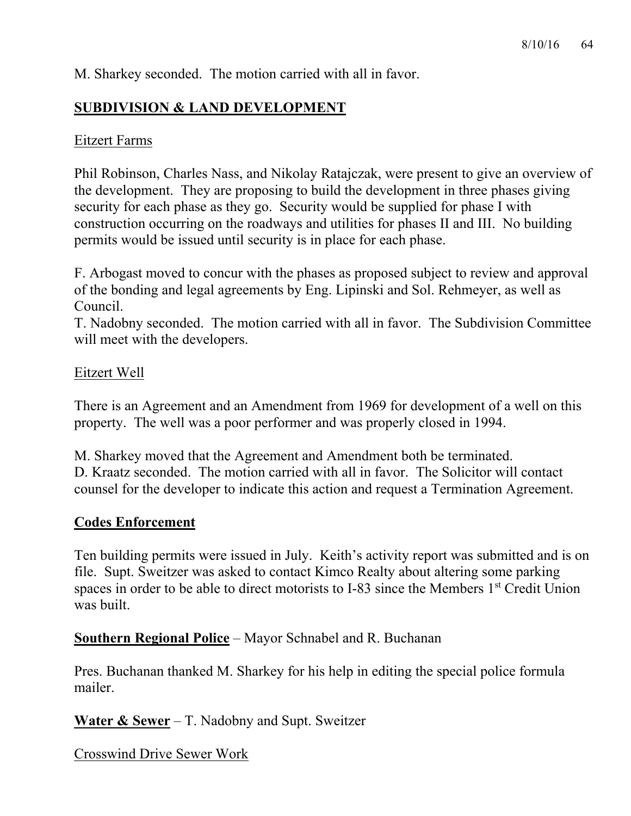M. Sharkey seconded. The motion carried with all in favor.

### **SUBDIVISION & LAND DEVELOPMENT**

#### Eitzert Farms

Phil Robinson, Charles Nass, and Nikolay Ratajczak, were present to give an overview of the development. They are proposing to build the development in three phases giving security for each phase as they go. Security would be supplied for phase I with construction occurring on the roadways and utilities for phases II and III. No building permits would be issued until security is in place for each phase.

F. Arbogast moved to concur with the phases as proposed subject to review and approval of the bonding and legal agreements by Eng. Lipinski and Sol. Rehmeyer, as well as Council.

T. Nadobny seconded. The motion carried with all in favor. The Subdivision Committee will meet with the developers.

#### Eitzert Well

There is an Agreement and an Amendment from 1969 for development of a well on this property. The well was a poor performer and was properly closed in 1994.

M. Sharkey moved that the Agreement and Amendment both be terminated. D. Kraatz seconded. The motion carried with all in favor. The Solicitor will contact counsel for the developer to indicate this action and request a Termination Agreement.

#### **Codes Enforcement**

Ten building permits were issued in July. Keith's activity report was submitted and is on file. Supt. Sweitzer was asked to contact Kimco Realty about altering some parking spaces in order to be able to direct motorists to I-83 since the Members 1<sup>st</sup> Credit Union was built.

**Southern Regional Police** – Mayor Schnabel and R. Buchanan

Pres. Buchanan thanked M. Sharkey for his help in editing the special police formula mailer.

**Water & Sewer** – T. Nadobny and Supt. Sweitzer

Crosswind Drive Sewer Work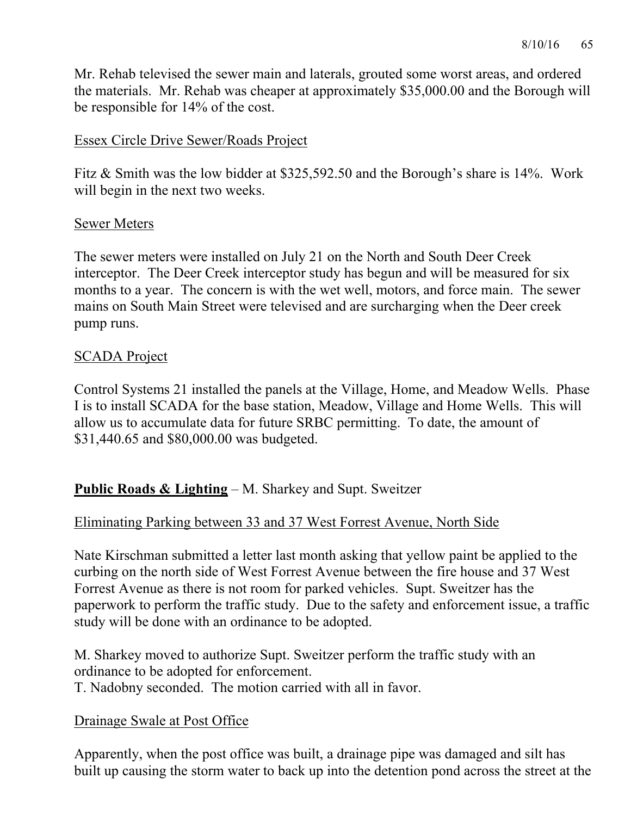Mr. Rehab televised the sewer main and laterals, grouted some worst areas, and ordered the materials. Mr. Rehab was cheaper at approximately \$35,000.00 and the Borough will be responsible for 14% of the cost.

### Essex Circle Drive Sewer/Roads Project

Fitz & Smith was the low bidder at \$325,592.50 and the Borough's share is 14%. Work will begin in the next two weeks.

#### Sewer Meters

The sewer meters were installed on July 21 on the North and South Deer Creek interceptor. The Deer Creek interceptor study has begun and will be measured for six months to a year. The concern is with the wet well, motors, and force main. The sewer mains on South Main Street were televised and are surcharging when the Deer creek pump runs.

### SCADA Project

Control Systems 21 installed the panels at the Village, Home, and Meadow Wells. Phase I is to install SCADA for the base station, Meadow, Village and Home Wells. This will allow us to accumulate data for future SRBC permitting. To date, the amount of \$31,440.65 and \$80,000.00 was budgeted.

## **Public Roads & Lighting** – M. Sharkey and Supt. Sweitzer

# Eliminating Parking between 33 and 37 West Forrest Avenue, North Side

Nate Kirschman submitted a letter last month asking that yellow paint be applied to the curbing on the north side of West Forrest Avenue between the fire house and 37 West Forrest Avenue as there is not room for parked vehicles. Supt. Sweitzer has the paperwork to perform the traffic study. Due to the safety and enforcement issue, a traffic study will be done with an ordinance to be adopted.

M. Sharkey moved to authorize Supt. Sweitzer perform the traffic study with an ordinance to be adopted for enforcement.

T. Nadobny seconded. The motion carried with all in favor.

## Drainage Swale at Post Office

Apparently, when the post office was built, a drainage pipe was damaged and silt has built up causing the storm water to back up into the detention pond across the street at the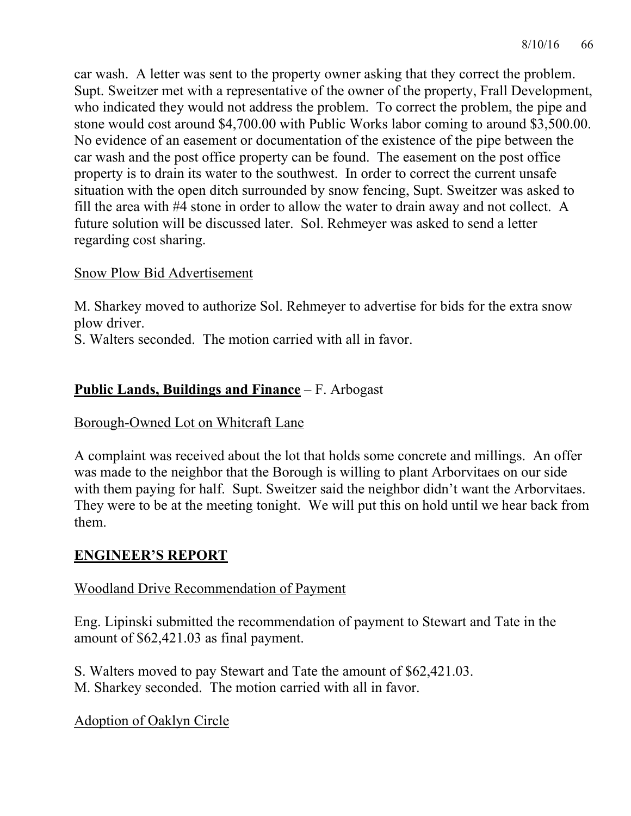car wash. A letter was sent to the property owner asking that they correct the problem. Supt. Sweitzer met with a representative of the owner of the property, Frall Development, who indicated they would not address the problem. To correct the problem, the pipe and stone would cost around \$4,700.00 with Public Works labor coming to around \$3,500.00. No evidence of an easement or documentation of the existence of the pipe between the car wash and the post office property can be found. The easement on the post office property is to drain its water to the southwest. In order to correct the current unsafe situation with the open ditch surrounded by snow fencing, Supt. Sweitzer was asked to fill the area with #4 stone in order to allow the water to drain away and not collect. A future solution will be discussed later. Sol. Rehmeyer was asked to send a letter regarding cost sharing.

#### Snow Plow Bid Advertisement

M. Sharkey moved to authorize Sol. Rehmeyer to advertise for bids for the extra snow plow driver.

S. Walters seconded. The motion carried with all in favor.

## **Public Lands, Buildings and Finance** – F. Arbogast

Borough-Owned Lot on Whitcraft Lane

A complaint was received about the lot that holds some concrete and millings. An offer was made to the neighbor that the Borough is willing to plant Arborvitaes on our side with them paying for half. Supt. Sweitzer said the neighbor didn't want the Arborvitaes. They were to be at the meeting tonight. We will put this on hold until we hear back from them.

### **ENGINEER'S REPORT**

### Woodland Drive Recommendation of Payment

Eng. Lipinski submitted the recommendation of payment to Stewart and Tate in the amount of \$62,421.03 as final payment.

S. Walters moved to pay Stewart and Tate the amount of \$62,421.03. M. Sharkey seconded. The motion carried with all in favor.

Adoption of Oaklyn Circle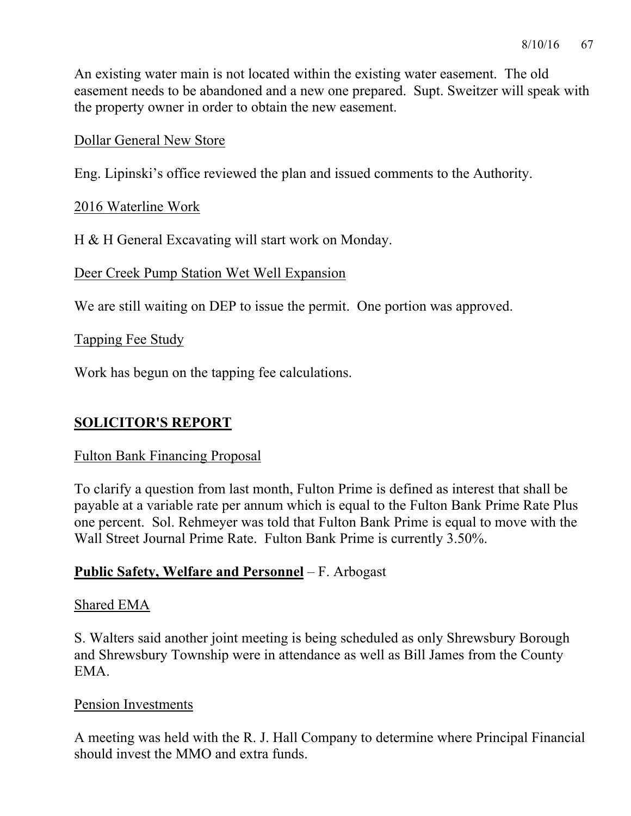An existing water main is not located within the existing water easement. The old easement needs to be abandoned and a new one prepared. Supt. Sweitzer will speak with the property owner in order to obtain the new easement.

#### Dollar General New Store

Eng. Lipinski's office reviewed the plan and issued comments to the Authority.

#### 2016 Waterline Work

H & H General Excavating will start work on Monday.

Deer Creek Pump Station Wet Well Expansion

We are still waiting on DEP to issue the permit. One portion was approved.

#### Tapping Fee Study

Work has begun on the tapping fee calculations.

### **SOLICITOR'S REPORT**

#### Fulton Bank Financing Proposal

To clarify a question from last month, Fulton Prime is defined as interest that shall be payable at a variable rate per annum which is equal to the Fulton Bank Prime Rate Plus one percent. Sol. Rehmeyer was told that Fulton Bank Prime is equal to move with the Wall Street Journal Prime Rate. Fulton Bank Prime is currently 3.50%.

### **Public Safety, Welfare and Personnel** – F. Arbogast

#### Shared EMA

S. Walters said another joint meeting is being scheduled as only Shrewsbury Borough and Shrewsbury Township were in attendance as well as Bill James from the County EMA.

#### Pension Investments

A meeting was held with the R. J. Hall Company to determine where Principal Financial should invest the MMO and extra funds.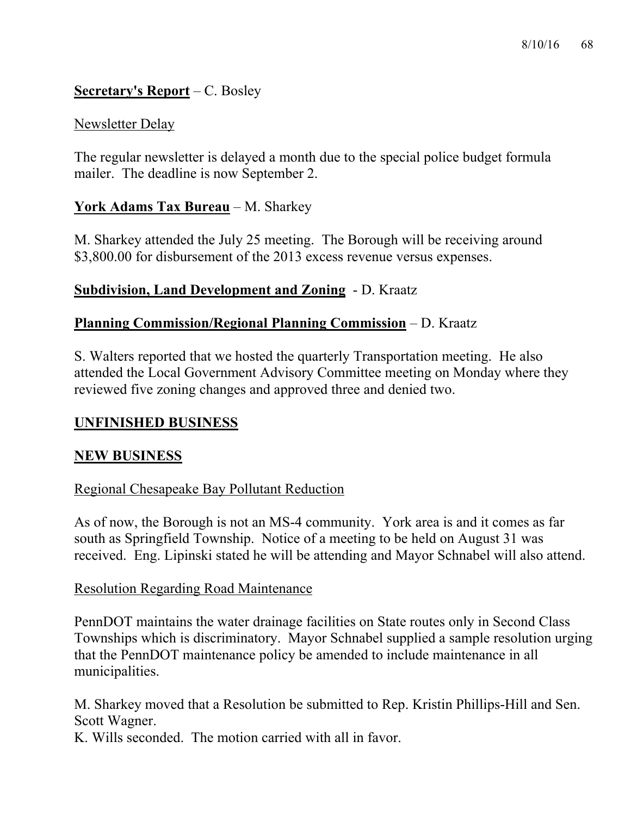### **Secretary's Report** – C. Bosley

#### Newsletter Delay

The regular newsletter is delayed a month due to the special police budget formula mailer. The deadline is now September 2.

### **York Adams Tax Bureau** – M. Sharkey

M. Sharkey attended the July 25 meeting. The Borough will be receiving around \$3,800.00 for disbursement of the 2013 excess revenue versus expenses.

#### **Subdivision, Land Development and Zoning** - D. Kraatz

#### **Planning Commission/Regional Planning Commission** – D. Kraatz

S. Walters reported that we hosted the quarterly Transportation meeting. He also attended the Local Government Advisory Committee meeting on Monday where they reviewed five zoning changes and approved three and denied two.

#### **UNFINISHED BUSINESS**

#### **NEW BUSINESS**

#### Regional Chesapeake Bay Pollutant Reduction

As of now, the Borough is not an MS-4 community. York area is and it comes as far south as Springfield Township. Notice of a meeting to be held on August 31 was received. Eng. Lipinski stated he will be attending and Mayor Schnabel will also attend.

#### Resolution Regarding Road Maintenance

PennDOT maintains the water drainage facilities on State routes only in Second Class Townships which is discriminatory. Mayor Schnabel supplied a sample resolution urging that the PennDOT maintenance policy be amended to include maintenance in all municipalities.

M. Sharkey moved that a Resolution be submitted to Rep. Kristin Phillips-Hill and Sen. Scott Wagner.

K. Wills seconded. The motion carried with all in favor.